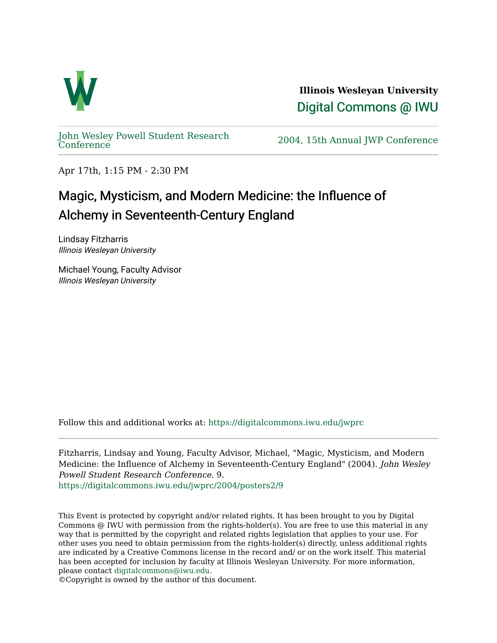

**Illinois Wesleyan University**  [Digital Commons @ IWU](https://digitalcommons.iwu.edu/) 

[John Wesley Powell Student Research](https://digitalcommons.iwu.edu/jwprc) 

2004, 15th Annual JWP [Conference](https://digitalcommons.iwu.edu/jwprc)

Apr 17th, 1:15 PM - 2:30 PM

## Magic, Mysticism, and Modern Medicine: the Influence of Alchemy in Seventeenth-Century England

Lindsay Fitzharris Illinois Wesleyan University

Michael Young, Faculty Advisor Illinois Wesleyan University

Follow this and additional works at: [https://digitalcommons.iwu.edu/jwprc](https://digitalcommons.iwu.edu/jwprc?utm_source=digitalcommons.iwu.edu%2Fjwprc%2F2004%2Fposters2%2F9&utm_medium=PDF&utm_campaign=PDFCoverPages) 

Fitzharris, Lindsay and Young, Faculty Advisor, Michael, "Magic, Mysticism, and Modern Medicine: the Influence of Alchemy in Seventeenth-Century England" (2004). John Wesley Powell Student Research Conference. 9. [https://digitalcommons.iwu.edu/jwprc/2004/posters2/9](https://digitalcommons.iwu.edu/jwprc/2004/posters2/9?utm_source=digitalcommons.iwu.edu%2Fjwprc%2F2004%2Fposters2%2F9&utm_medium=PDF&utm_campaign=PDFCoverPages)

This Event is protected by copyright and/or related rights. It has been brought to you by Digital Commons @ IWU with permission from the rights-holder(s). You are free to use this material in any way that is permitted by the copyright and related rights legislation that applies to your use. For other uses you need to obtain permission from the rights-holder(s) directly, unless additional rights are indicated by a Creative Commons license in the record and/ or on the work itself. This material has been accepted for inclusion by faculty at Illinois Wesleyan University. For more information, please contact [digitalcommons@iwu.edu.](mailto:digitalcommons@iwu.edu)

©Copyright is owned by the author of this document.